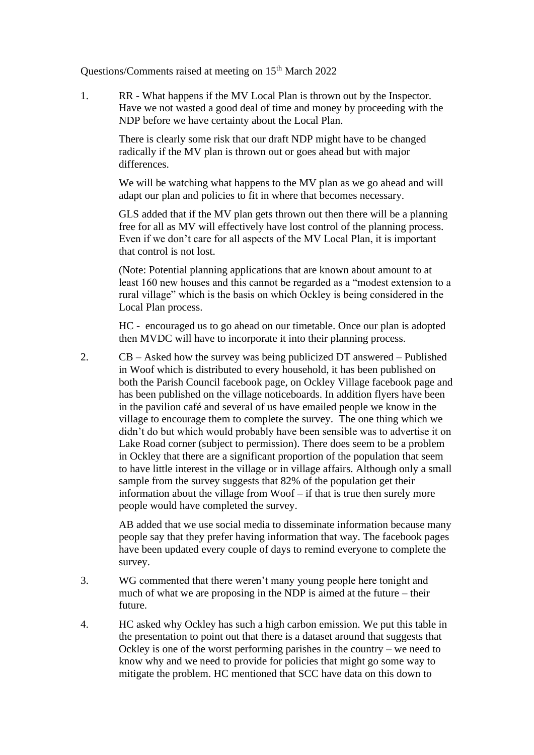Questions/Comments raised at meeting on 15<sup>th</sup> March 2022

1. RR - What happens if the MV Local Plan is thrown out by the Inspector. Have we not wasted a good deal of time and money by proceeding with the NDP before we have certainty about the Local Plan.

> There is clearly some risk that our draft NDP might have to be changed radically if the MV plan is thrown out or goes ahead but with major differences.

We will be watching what happens to the MV plan as we go ahead and will adapt our plan and policies to fit in where that becomes necessary.

GLS added that if the MV plan gets thrown out then there will be a planning free for all as MV will effectively have lost control of the planning process. Even if we don't care for all aspects of the MV Local Plan, it is important that control is not lost.

(Note: Potential planning applications that are known about amount to at least 160 new houses and this cannot be regarded as a "modest extension to a rural village" which is the basis on which Ockley is being considered in the Local Plan process.

HC - encouraged us to go ahead on our timetable. Once our plan is adopted then MVDC will have to incorporate it into their planning process.

2. CB – Asked how the survey was being publicized DT answered – Published in Woof which is distributed to every household, it has been published on both the Parish Council facebook page, on Ockley Village facebook page and has been published on the village noticeboards. In addition flyers have been in the pavilion café and several of us have emailed people we know in the village to encourage them to complete the survey. The one thing which we didn't do but which would probably have been sensible was to advertise it on Lake Road corner (subject to permission). There does seem to be a problem in Ockley that there are a significant proportion of the population that seem to have little interest in the village or in village affairs. Although only a small sample from the survey suggests that 82% of the population get their information about the village from Woof – if that is true then surely more people would have completed the survey.

> AB added that we use social media to disseminate information because many people say that they prefer having information that way. The facebook pages have been updated every couple of days to remind everyone to complete the survey.

- 3. WG commented that there weren't many young people here tonight and much of what we are proposing in the NDP is aimed at the future – their future.
- 4. HC asked why Ockley has such a high carbon emission. We put this table in the presentation to point out that there is a dataset around that suggests that Ockley is one of the worst performing parishes in the country – we need to know why and we need to provide for policies that might go some way to mitigate the problem. HC mentioned that SCC have data on this down to